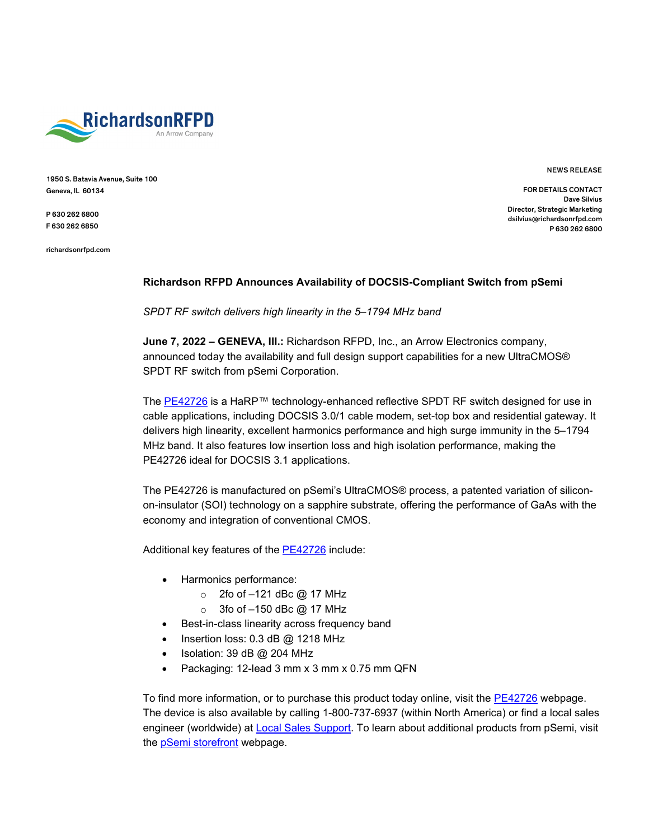

1950 S. Batavia Avenue, Suite 100 Geneva, IL 60134

P 630 262 6800 F 630 262 6850

richardsonrfpd.com

NEWS RELEASE

FOR DETAILS CONTACT Dave Silvius Director, Strategic Marketing dsilvius@richardsonrfpd.com P 630 262 6800

## **Richardson RFPD Announces Availability of DOCSIS-Compliant Switch from pSemi**

*SPDT RF switch delivers high linearity in the 5–1794 MHz band*

**June 7, 2022 – GENEVA, Ill.:** Richardson RFPD, Inc., an Arrow Electronics company, announced today the availability and full design support capabilities for a new UltraCMOS® SPDT RF switch from pSemi Corporation.

The [PE42726](https://www.richardsonrfpd.com/Products/Product/PE42726A?utm_campaign=pSemi-PE42726&utm_source=PR&utm_medium=ProductLink) is a HaRP™ technology-enhanced reflective SPDT RF switch designed for use in cable applications, including DOCSIS 3.0/1 cable modem, set-top box and residential gateway. It delivers high linearity, excellent harmonics performance and high surge immunity in the 5–1794 MHz band. It also features low insertion loss and high isolation performance, making the PE42726 ideal for DOCSIS 3.1 applications.

The PE42726 is manufactured on pSemi's UltraCMOS® process, a patented variation of siliconon-insulator (SOI) technology on a sapphire substrate, offering the performance of GaAs with the economy and integration of conventional CMOS.

Additional key features of the [PE42726](https://www.richardsonrfpd.com/Products/Product/PE42726A?utm_campaign=pSemi-PE42726&utm_source=PR&utm_medium=ProductLink) include:

- Harmonics performance:
	- $\circ$  2fo of -121 dBc @ 17 MHz
	- $\circ$  3fo of -150 dBc @ 17 MHz
- Best-in-class linearity across frequency band
- Insertion loss: 0.3 dB @ 1218 MHz
- Isolation: 39 dB @ 204 MHz
- Packaging: 12-lead 3 mm x 3 mm x 0.75 mm QFN

To find more information, or to purchase this product today online, visit the [PE42726](https://www.richardsonrfpd.com/Products/Product/PE42726A?utm_campaign=pSemi-PE42726&utm_source=PR&utm_medium=ProductLink) webpage. The device is also available by calling 1-800-737-6937 (within North America) or find a local sales engineer (worldwide) at [Local Sales Support.](http://www.richardsonrfpd.com/content/english/contactus/Pages/SalesSupport.aspx) To learn about additional products from pSemi, visit the pSemi [storefront](https://www.richardsonrfpd.com/Supplier/Index/pSemi) webpage.